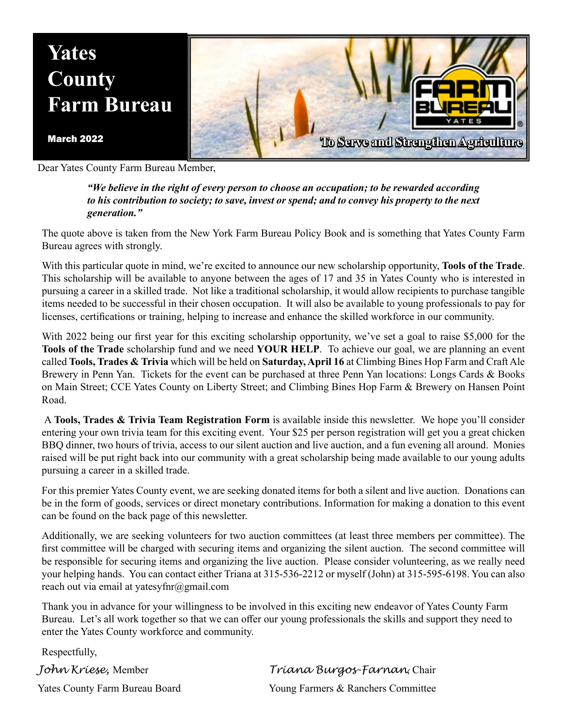

Dear Yates County Farm Bureau Member,

*"We believe in the right of every person to choose an occupation; to be rewarded according to his contribution to society; to save, invest or spend; and to convey his property to the next generation."*

The quote above is taken from the New York Farm Bureau Policy Book and is something that Yates County Farm Bureau agrees with strongly.

With this particular quote in mind, we're excited to announce our new scholarship opportunity, **Tools of the Trade**. This scholarship will be available to anyone between the ages of 17 and 35 in Yates County who is interested in pursuing a career in a skilled trade. Not like a traditional scholarship, it would allow recipients to purchase tangible items needed to be successful in their chosen occupation. It will also be available to young professionals to pay for licenses, certifications or training, helping to increase and enhance the skilled workforce in our community.

With 2022 being our first year for this exciting scholarship opportunity, we've set a goal to raise \$5,000 for the **Tools of the Trade** scholarship fund and we need **YOUR HELP**. To achieve our goal, we are planning an event called **Tools, Trades & Trivia** which will be held on **Saturday, April 16** at Climbing Bines Hop Farm and Craft Ale Brewery in Penn Yan. Tickets for the event can be purchased at three Penn Yan locations: Longs Cards & Books on Main Street; CCE Yates County on Liberty Street; and Climbing Bines Hop Farm & Brewery on Hansen Point Road.

 A **Tools, Trades & Trivia Team Registration Form** is available inside this newsletter. We hope you'll consider entering your own trivia team for this exciting event. Your \$25 per person registration will get you a great chicken BBQ dinner, two hours of trivia, access to our silent auction and live auction, and a fun evening all around. Monies raised will be put right back into our community with a great scholarship being made available to our young adults pursuing a career in a skilled trade.

For this premier Yates County event, we are seeking donated items for both a silent and live auction. Donations can be in the form of goods, services or direct monetary contributions. Information for making a donation to this event can be found on the back page of this newsletter.

Additionally, we are seeking volunteers for two auction committees (at least three members per committee). The first committee will be charged with securing items and organizing the silent auction. The second committee will be responsible for securing items and organizing the live auction. Please consider volunteering, as we really need your helping hands. You can contact either Triana at 315-536-2212 or myself (John) at 315-595-6198. You can also reach out via email at yatesyfnr@gmail.com

Thank you in advance for your willingness to be involved in this exciting new endeavor of Yates County Farm Bureau. Let's all work together so that we can offer our young professionals the skills and support they need to enter the Yates County workforce and community.

Respectfully,

*John Kriese,* Member *Triana Burgos-Farnan*, Chair Yates County Farm Bureau Board Young Farmers & Ranchers Committee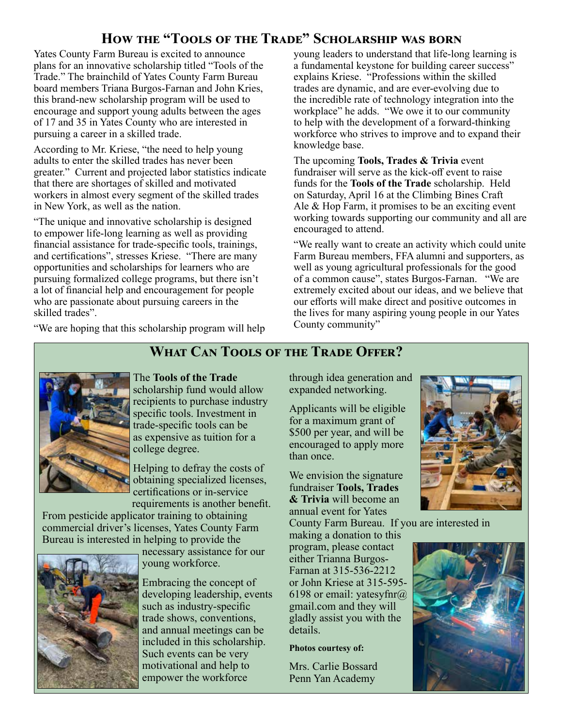### **How the "Tools of the Trade" Scholarship was born**

Yates County Farm Bureau is excited to announce plans for an innovative scholarship titled "Tools of the Trade." The brainchild of Yates County Farm Bureau board members Triana Burgos-Farnan and John Kries, this brand-new scholarship program will be used to encourage and support young adults between the ages of 17 and 35 in Yates County who are interested in pursuing a career in a skilled trade.

According to Mr. Kriese, "the need to help young adults to enter the skilled trades has never been greater." Current and projected labor statistics indicate that there are shortages of skilled and motivated workers in almost every segment of the skilled trades in New York, as well as the nation.

"The unique and innovative scholarship is designed to empower life-long learning as well as providing financial assistance for trade-specific tools, trainings, and certifications", stresses Kriese. "There are many opportunities and scholarships for learners who are pursuing formalized college programs, but there isn't a lot of financial help and encouragement for people who are passionate about pursuing careers in the skilled trades".

"We are hoping that this scholarship program will help

young leaders to understand that life-long learning is a fundamental keystone for building career success" explains Kriese. "Professions within the skilled trades are dynamic, and are ever-evolving due to the incredible rate of technology integration into the workplace" he adds. "We owe it to our community to help with the development of a forward-thinking workforce who strives to improve and to expand their knowledge base.

The upcoming **Tools, Trades & Trivia** event fundraiser will serve as the kick-off event to raise funds for the **Tools of the Trade** scholarship. Held on Saturday, April 16 at the Climbing Bines Craft Ale & Hop Farm, it promises to be an exciting event working towards supporting our community and all are encouraged to attend.

"We really want to create an activity which could unite Farm Bureau members, FFA alumni and supporters, as well as young agricultural professionals for the good of a common cause", states Burgos-Farnan. "We are extremely excited about our ideas, and we believe that our efforts will make direct and positive outcomes in the lives for many aspiring young people in our Yates County community"

### **What Can Tools of the Trade Offer?**



The **Tools of the Trade** scholarship fund would allow recipients to purchase industry specific tools. Investment in

trade-specific tools can be as expensive as tuition for a college degree.

Helping to defray the costs of obtaining specialized licenses, certifications or in-service requirements is another benefit.

From pesticide applicator training to obtaining commercial driver's licenses, Yates County Farm Bureau is interested in helping to provide the



necessary assistance for our young workforce.

Embracing the concept of developing leadership, events such as industry-specific trade shows, conventions, and annual meetings can be included in this scholarship. Such events can be very motivational and help to empower the workforce

through idea generation and expanded networking.

Applicants will be eligible for a maximum grant of \$500 per year, and will be encouraged to apply more than once.

We envision the signature fundraiser **Tools, Trades & Trivia** will become an annual event for Yates

County Farm Bureau. If you are interested in

making a donation to this program, please contact either Trianna Burgos-Farnan at 315-536-2212 or John Kriese at 315-595- 6198 or email: yatesyfnr $\omega$ gmail.com and they will gladly assist you with the details.

#### **Photos courtesy of:**

Mrs. Carlie Bossard Penn Yan Academy



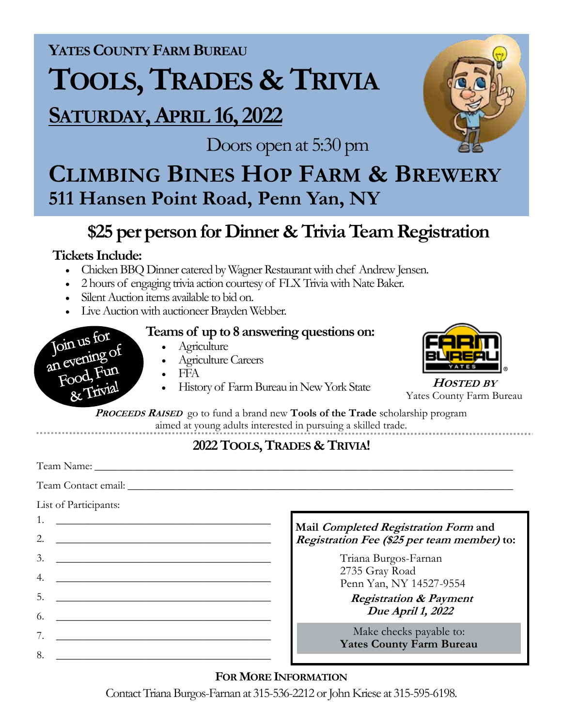**YATESCOUNTY FARM BUREAU**

# **TOOLS, TRADES & TRIVIA**

## **SATURDAY, APRIL 16, 2022**

Doors open at 5:30 pm

# **CLIMBING BINES HOP FARM & BREWERY 511 Hansen Point Road, Penn Yan, NY**

### **\$25 per person for Dinner & Trivia Team Registration**

### **Tickets Include:**

Join us for Join us re-<br>an evening of Pood, Fun & Triv

- Chicken BBQ Dinner catered by Wagner Restaurant with chef Andrew Jensen.
- 2 hours of engaging trivia action courtesy of FLX Trivia with Nate Baker.
- Silent Auction items available to bid on.
- Live Auction with auctioneer Brayden Webber.

### **Teams of up to 8 answering questions on:**

- Agriculture
- Agriculture Careers
- FFA
- History of Farm Bureau in New York State **<sup>H</sup>OSTED BY** Yates County Farm Bureau



**<sup>P</sup>ROCEEDS <sup>R</sup>AISED** go to fund a brand new **Tools of the Trade** scholarship program aimed at young adults interested in pursuing a skilled trade.

### **2022 TOOLS, TRADES & TRIVIA!**

Team Name: \_\_\_\_\_\_\_\_\_\_\_\_\_\_\_\_\_\_\_\_\_\_\_\_\_\_\_\_\_\_\_\_\_\_\_\_\_\_\_\_\_\_\_\_\_\_\_\_\_\_\_\_\_\_\_\_\_\_\_\_\_\_\_\_\_\_\_\_\_\_\_\_\_\_\_\_ Team Contact email: \_\_\_\_\_\_\_\_\_\_\_\_\_\_\_\_\_\_\_\_\_\_\_\_\_\_\_\_\_\_\_\_\_\_\_\_\_\_\_\_\_\_\_\_\_\_\_\_\_\_\_\_\_\_\_\_\_\_\_\_\_\_\_\_\_\_\_\_\_\_ List of Participants: 1. \_\_\_\_\_\_\_\_\_\_\_\_\_\_\_\_\_\_\_\_\_\_\_\_\_\_\_\_\_\_\_\_\_\_\_\_\_\_\_  $2.$   $\Box$  $3.$  $4.$  $5.$  $6.$  $7.$  $8.$ **Mail Completed Registration Form and Registration Fee (\$25 per team member) to:** Triana Burgos-Farnan 2735 Gray Road Penn Yan, NY 14527-9554 **Registration & Payment Due April 1, 2022** Make checks payable to: **Yates County Farm Bureau**

### **FOR MORE INFORMATION**

Contact Triana Burgos-Farnan at 315-536-2212 or John Kriese at 315-595-6198.